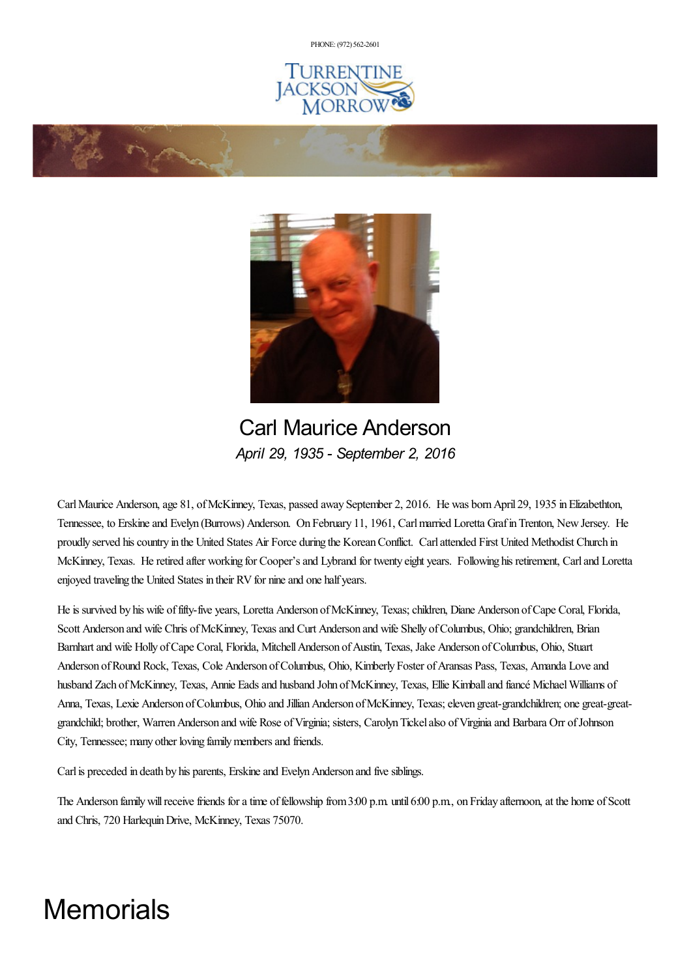PHONE: (972) [562-2601](tel:(972) 562-2601)







Carl Maurice Anderson *April 29, 1935 - September 2, 2016*

CarlMaurice Anderson,age 81, ofMcKinney, Texas, passed away September 2, 2016. He was bornApril 29, 1935 inElizabethton, Tennessee, to Erskineand Evelyn (Burrows) Anderson. On February 11, 1961, Carlmarried Loretta GrafinTrenton, NewJersey. He proudly served his country in the United States Air Force during the Korean Conflict. Carl attended First United Methodist Church in McKinney, Texas. He retired after working for Cooper's and Lybrand for twenty eight years. Following his retirement, Carl and Loretta enjoyed traveling the United States in their RV for nine and one half years.

He is survived by his wife of fifty-five years, Loretta Anderson of McKinney, Texas; children, Diane Anderson of Cape Coral, Florida, Scott Anderson and wife Chris of McKinney, Texas and Curt Anderson and wife Shelly of Columbus, Ohio; grandchildren, Brian Barnhart and wife Holly of Cape Coral, Florida, Mitchell Anderson of Austin, Texas, Jake Anderson of Columbus, Ohio, Stuart Anderson of Round Rock, Texas, Cole Anderson of Columbus, Ohio, Kimberly Foster of Aransas Pass, Texas, Amanda Love and husband Zach of McKinney, Texas, Annie Eads and husband John of McKinney, Texas, Ellie Kimball and fiancé Michael Williams of Anna, Texas, Lexie Anderson of Columbus, Ohio and Jillian Anderson of McKinney, Texas; eleven great-grandchildren; one great-greatgrandchild; brother, Warren Anderson and wife Rose of Virginia; sisters, Carolyn Tickel also of Virginia and Barbara Orr of Johnson City, Tennessee; many other loving family members and friends.

Carl is preceded in death by his parents, Erskine and Evelyn Anderson and five siblings.

The Anderson family will receive friends for a time of fellowship from 3:00 p.m. until 6:00 p.m., on Friday afternoon, at the home of Scott and Chris, 720 HarlequinDrive, McKinney, Texas 75070.

# **Memorials**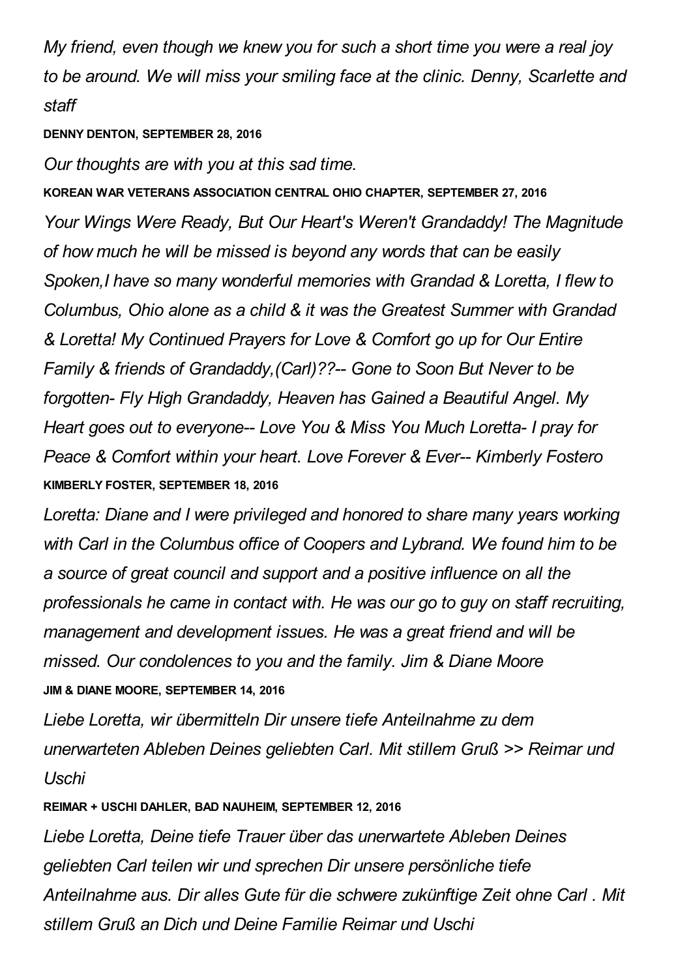*My friend, even though we knew you for such a short time you were a real joy to be around. We will miss your smiling face at the clinic. Denny, Scarlette and staff*

#### **DENNY DENTON, SEPTEMBER 28, 2016**

*Our thoughts are with you at this sad time.*

**KOREAN WAR VETERANS ASSOCIATION CENTRAL OHIO CHAPTER, SEPTEMBER 27, 2016** *Your Wings Were Ready, But Our Heart's Weren't Grandaddy! The Magnitude of how much he will be missed is beyond any words that can be easily Spoken,I have so many wonderful memories with Grandad & Loretta, I flew to Columbus, Ohio alone as a child & it was the Greatest Summer with Grandad & Loretta! My Continued Prayers for Love & Comfort go up for Our Entire Family & friends of Grandaddy,(Carl)??-- Gone to Soon But Never to be forgotten- Fly High Grandaddy, Heaven has Gained a Beautiful Angel. My Heart goes out to everyone-- Love You & Miss You Much Loretta- I pray for Peace & Comfort within your heart. Love Forever & Ever-- Kimberly Fostero* **KIMBERLY FOSTER, SEPTEMBER 18, 2016**

*Loretta: Diane and I were privileged and honored to share many years working with Carl in the Columbus office of Coopers and Lybrand. We found him to be a source of great council and support and a positive influence on all the professionals he came in contact with. He was our go to guy on staff recruiting, management and development issues. He was a great friend and will be missed. Our condolences to you and the family. Jim & Diane Moore* **JIM & DIANE MOORE, SEPTEMBER 14, 2016**

*Liebe Loretta, wir übermitteln Dir unsere tiefe Anteilnahme zu dem unerwarteten Ableben Deines geliebten Carl. Mit stillem Gruß >> Reimar und Uschi*

**REIMAR + USCHI DAHLER, BAD NAUHEIM, SEPTEMBER 12, 2016**

*Liebe Loretta, Deine tiefe Trauer über das unerwartete Ableben Deines geliebten Carl teilen wir und sprechen Dir unsere persönliche tiefe Anteilnahme aus. Dir alles Gute für die schwere zukünftige Zeit ohne Carl . Mit stillem Gruß an Dich und Deine Familie Reimar und Uschi*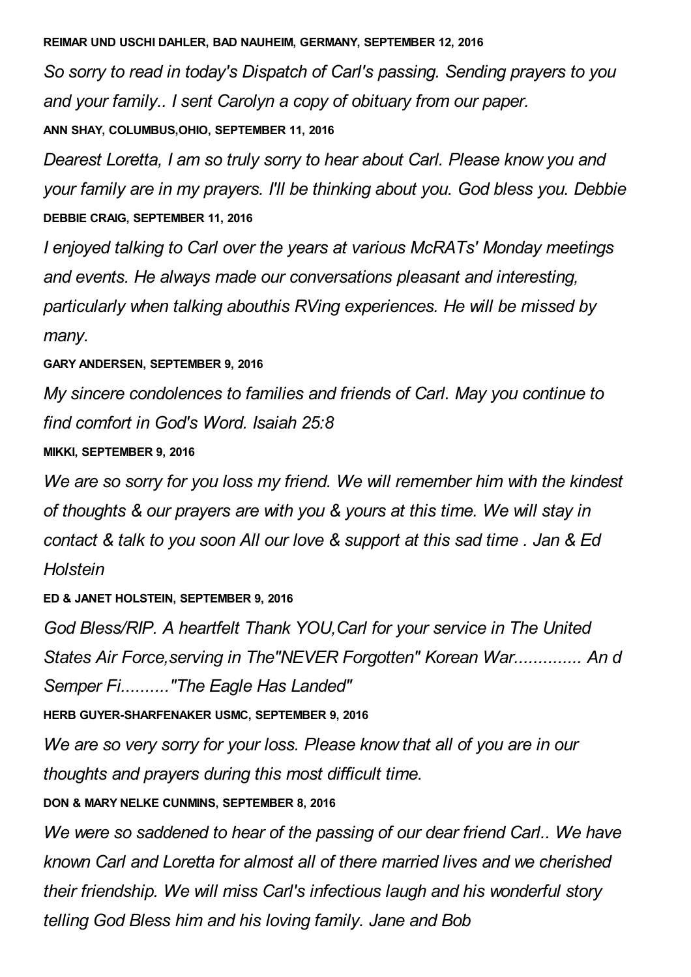#### **REIMAR UND USCHI DAHLER, BAD NAUHEIM, GERMANY, SEPTEMBER 12, 2016**

*So sorry to read in today's Dispatch of Carl's passing. Sending prayers to you and your family.. I sent Carolyn a copy of obituary from our paper.*

**ANN SHAY, COLUMBUS,OHIO, SEPTEMBER 11, 2016**

*Dearest Loretta, I am so truly sorry to hear about Carl. Please know you and your family are in my prayers. I'll be thinking about you. God bless you. Debbie* **DEBBIE CRAIG, SEPTEMBER 11, 2016**

*I enjoyed talking to Carl over the years at various McRATs' Monday meetings and events. He always made our conversations pleasant and interesting, particularly when talking abouthis RVing experiences. He will be missed by many.*

#### **GARY ANDERSEN, SEPTEMBER 9, 2016**

*My sincere condolences to families and friends of Carl. May you continue to find comfort in God's Word. Isaiah 25:8*

#### **MIKKI, SEPTEMBER 9, 2016**

*We are so sorry for you loss my friend. We will remember him with the kindest of thoughts & our prayers are with you & yours at this time. We will stay in contact & talk to you soon All our love & support at this sad time . Jan & Ed Holstein*

#### **ED & JANET HOLSTEIN, SEPTEMBER 9, 2016**

*God Bless/RIP. A heartfelt Thank YOU,Carl for your service in The United States Air Force,serving in The"NEVER Forgotten" Korean War.............. An d Semper Fi.........."The Eagle Has Landed"*

**HERB GUYER-SHARFENAKER USMC, SEPTEMBER 9, 2016**

*We are so very sorry for your loss. Please know that all of you are in our thoughts and prayers during this most difficult time.*

**DON & MARY NELKE CUNMINS, SEPTEMBER 8, 2016**

*We were so saddened to hear of the passing of our dear friend Carl.. We have known Carl and Loretta for almost all of there married lives and we cherished their friendship. We will miss Carl's infectious laugh and his wonderful story telling God Bless him and his loving family. Jane and Bob*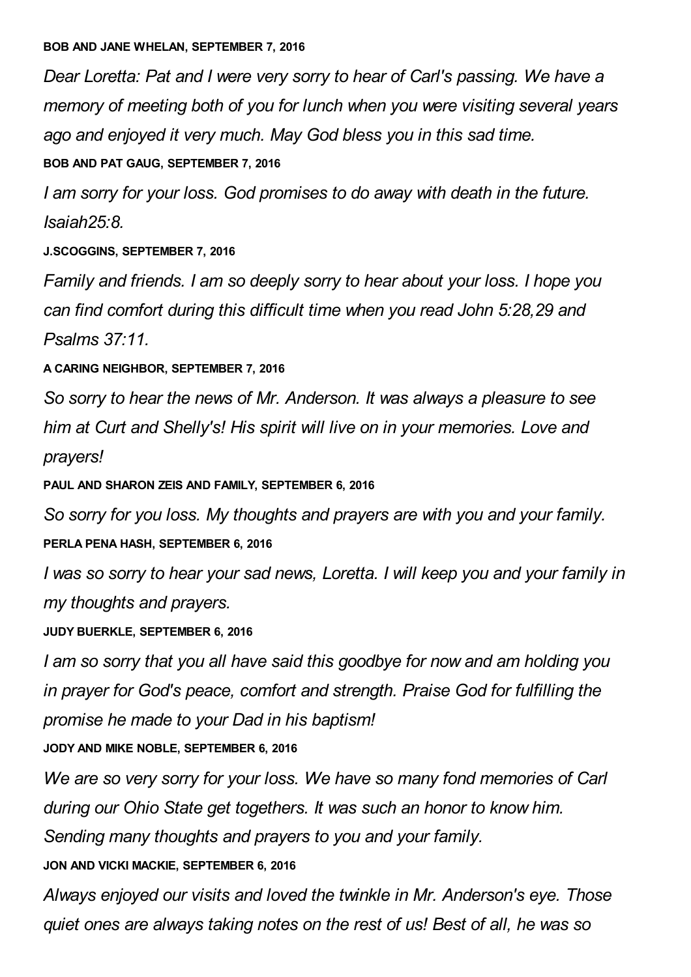*Dear Loretta: Pat and I were very sorry to hear of Carl's passing. We have a memory of meeting both of you for lunch when you were visiting several years ago and enjoyed it very much. May God bless you in this sad time.*

#### **BOB AND PAT GAUG, SEPTEMBER 7, 2016**

*I am sorry for your loss. God promises to do away with death in the future. Isaiah25:8.*

**J.SCOGGINS, SEPTEMBER 7, 2016**

*Family and friends. I am so deeply sorry to hear about your loss. I hope you can find comfort during this difficult time when you read John 5:28,29 and Psalms 37:11.*

### **A CARING NEIGHBOR, SEPTEMBER 7, 2016**

*So sorry to hear the news of Mr. Anderson. It was always a pleasure to see him at Curt and Shelly's! His spirit will live on in your memories. Love and prayers!*

**PAUL AND SHARON ZEIS AND FAMILY, SEPTEMBER 6, 2016**

*So sorry for you loss. My thoughts and prayers are with you and your family.* **PERLA PENA HASH, SEPTEMBER 6, 2016**

*I was so sorry to hear your sad news, Loretta. I will keep you and your family in my thoughts and prayers.*

## **JUDY BUERKLE, SEPTEMBER 6, 2016**

*I am so sorry that you all have said this goodbye for now and am holding you in prayer for God's peace, comfort and strength. Praise God for fulfilling the promise he made to your Dad in his baptism!*

**JODY AND MIKE NOBLE, SEPTEMBER 6, 2016**

*We are so very sorry for your loss. We have so many fond memories of Carl during our Ohio State get togethers. It was such an honor to know him. Sending many thoughts and prayers to you and your family.* **JON AND VICKI MACKIE, SEPTEMBER 6, 2016**

*Always enjoyed our visits and loved the twinkle in Mr. Anderson's eye. Those quiet ones are always taking notes on the rest of us! Best of all, he was so*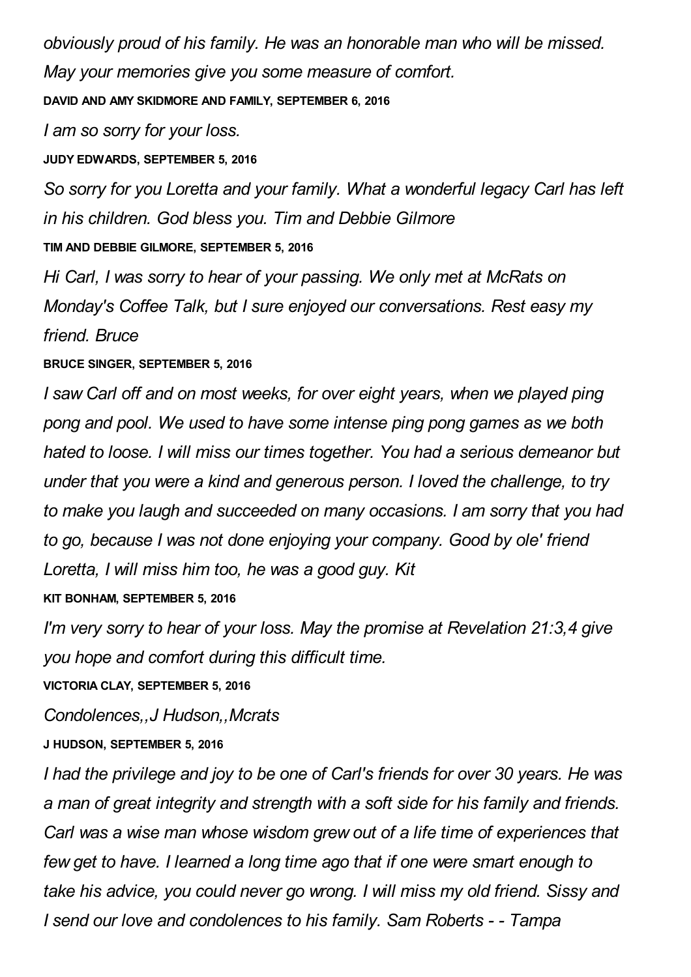*obviously proud of his family. He was an honorable man who will be missed. May your memories give you some measure of comfort.* **DAVID AND AMY SKIDMORE AND FAMILY, SEPTEMBER 6, 2016**

*I am so sorry for your loss.*

**JUDY EDWARDS, SEPTEMBER 5, 2016**

*So sorry for you Loretta and your family. What a wonderful legacy Carl has left in his children. God bless you. Tim and Debbie Gilmore*

**TIM AND DEBBIE GILMORE, SEPTEMBER 5, 2016**

*Hi Carl, I was sorry to hear of your passing. We only met at McRats on Monday's Coffee Talk, but I sure enjoyed our conversations. Rest easy my friend. Bruce*

**BRUCE SINGER, SEPTEMBER 5, 2016**

*I saw Carl off and on most weeks, for over eight years, when we played ping pong and pool. We used to have some intense ping pong games as we both hated to loose. I will miss our times together. You had a serious demeanor but under that you were a kind and generous person. I loved the challenge, to try to make you laugh and succeeded on many occasions. I am sorry that you had to go, because I was not done enjoying your company. Good by ole' friend Loretta, I will miss him too, he was a good guy. Kit*

**KIT BONHAM, SEPTEMBER 5, 2016**

*I'm very sorry to hear of your loss. May the promise at Revelation 21:3,4 give you hope and comfort during this difficult time.*

**VICTORIA CLAY, SEPTEMBER 5, 2016**

*Condolences,,J Hudson,,Mcrats*

**J HUDSON, SEPTEMBER 5, 2016**

*I had the privilege and joy to be one of Carl's friends for over 30 years. He was a man of great integrity and strength with a soft side for his family and friends. Carl was a wise man whose wisdom grew out of a life time of experiences that few get to have. I learned a long time ago that if one were smart enough to take his advice, you could never go wrong. I will miss my old friend. Sissy and I send our love and condolences to his family. Sam Roberts - - Tampa*